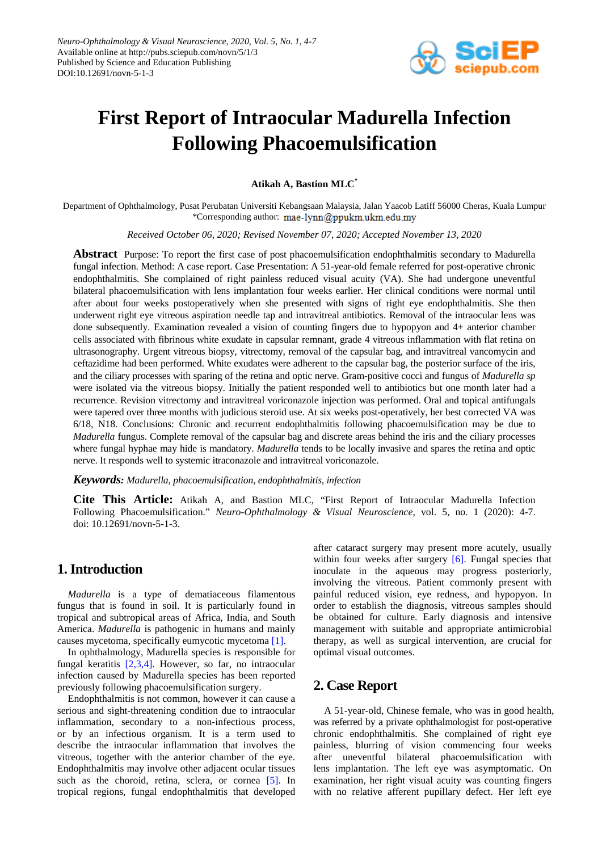

# **First Report of Intraocular Madurella Infection Following Phacoemulsification**

**Atikah A, Bastion MLC\***

Department of Ophthalmology, Pusat Perubatan Universiti Kebangsaan Malaysia, Jalan Yaacob Latiff 56000 Cheras, Kuala Lumpur \*Corresponding author: mae-lynn@ppukm.ukm.edu.my

*Received October 06, 2020; Revised November 07, 2020; Accepted November 13, 2020*

**Abstract** Purpose: To report the first case of post phacoemulsification endophthalmitis secondary to Madurella fungal infection. Method: A case report. Case Presentation: A 51-year-old female referred for post-operative chronic endophthalmitis. She complained of right painless reduced visual acuity (VA). She had undergone uneventful bilateral phacoemulsification with lens implantation four weeks earlier. Her clinical conditions were normal until after about four weeks postoperatively when she presented with signs of right eye endophthalmitis. She then underwent right eye vitreous aspiration needle tap and intravitreal antibiotics. Removal of the intraocular lens was done subsequently. Examination revealed a vision of counting fingers due to hypopyon and 4+ anterior chamber cells associated with fibrinous white exudate in capsular remnant, grade 4 vitreous inflammation with flat retina on ultrasonography. Urgent vitreous biopsy, vitrectomy, removal of the capsular bag, and intravitreal vancomycin and ceftazidime had been performed. White exudates were adherent to the capsular bag, the posterior surface of the iris, and the ciliary processes with sparing of the retina and optic nerve. Gram-positive cocci and fungus of *Madurella sp* were isolated via the vitreous biopsy. Initially the patient responded well to antibiotics but one month later had a recurrence. Revision vitrectomy and intravitreal voriconazole injection was performed. Oral and topical antifungals were tapered over three months with judicious steroid use. At six weeks post-operatively, her best corrected VA was 6/18, N18. Conclusions: Chronic and recurrent endophthalmitis following phacoemulsification may be due to *Madurella* fungus. Complete removal of the capsular bag and discrete areas behind the iris and the ciliary processes where fungal hyphae may hide is mandatory. *Madurella* tends to be locally invasive and spares the retina and optic nerve. It responds well to systemic itraconazole and intravitreal voriconazole.

*Keywords: Madurella, phacoemulsification, endophthalmitis, infection*

**Cite This Article:** Atikah A, and Bastion MLC, "First Report of Intraocular Madurella Infection Following Phacoemulsification." *Neuro-Ophthalmology & Visual Neuroscience*, vol. 5, no. 1 (2020): 4-7. doi: 10.12691/novn-5-1-3.

# **1. Introduction**

*Madurella* is a type of dematiaceous filamentous fungus that is found in soil. It is particularly found in tropical and subtropical areas of Africa, India, and South America. *Madurella* is pathogenic in humans and mainly causes mycetoma, specifically eumycotic mycetoma [\[1\].](#page-3-0)

In ophthalmology, Madurella species is responsible for fungal keratitis [\[2,3,4\].](#page-3-1) However, so far, no intraocular infection caused by Madurella species has been reported previously following phacoemulsification surgery.

Endophthalmitis is not common, however it can cause a serious and sight-threatening condition due to intraocular inflammation, secondary to a non-infectious process, or by an infectious organism. It is a term used to describe the intraocular inflammation that involves the vitreous, together with the anterior chamber of the eye. Endophthalmitis may involve other adjacent ocular tissues such as the choroid, retina, sclera, or cornea [\[5\].](#page-3-2) In tropical regions, fungal endophthalmitis that developed after cataract surgery may present more acutely, usually within four weeks after surgery [\[6\].](#page-3-3) Fungal species that inoculate in the aqueous may progress posteriorly, involving the vitreous. Patient commonly present with painful reduced vision, eye redness, and hypopyon. In order to establish the diagnosis, vitreous samples should be obtained for culture. Early diagnosis and intensive management with suitable and appropriate antimicrobial therapy, as well as surgical intervention, are crucial for optimal visual outcomes.

# **2. Case Report**

A 51-year-old, Chinese female, who was in good health, was referred by a private ophthalmologist for post-operative chronic endophthalmitis. She complained of right eye painless, blurring of vision commencing four weeks after uneventful bilateral phacoemulsification with lens implantation. The left eye was asymptomatic. On examination, her right visual acuity was counting fingers with no relative afferent pupillary defect. Her left eye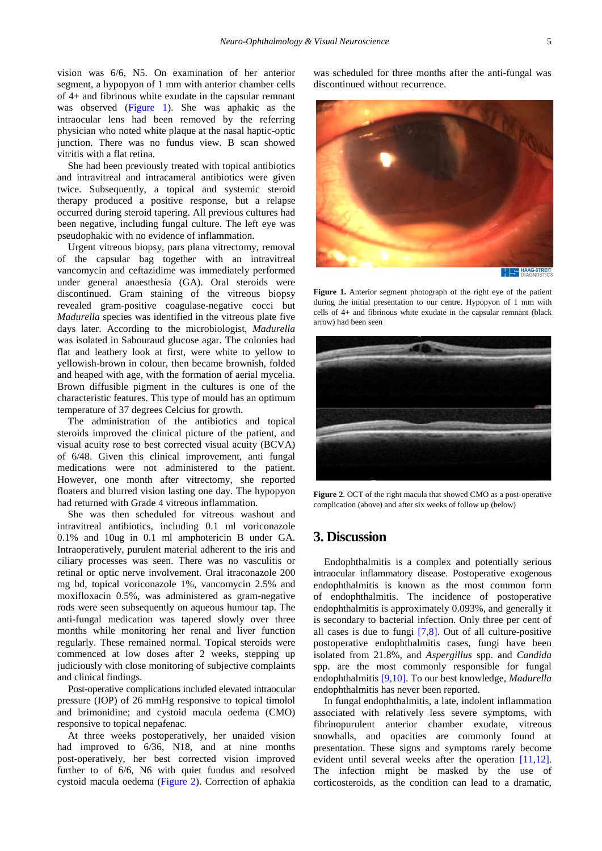vision was 6/6, N5. On examination of her anterior segment, a hypopyon of 1 mm with anterior chamber cells of 4+ and fibrinous white exudate in the capsular remnant was observed [\(Figure 1\)](#page-1-0). She was aphakic as the intraocular lens had been removed by the referring physician who noted white plaque at the nasal haptic-optic junction. There was no fundus view. B scan showed vitritis with a flat retina.

She had been previously treated with topical antibiotics and intravitreal and intracameral antibiotics were given twice. Subsequently, a topical and systemic steroid therapy produced a positive response, but a relapse occurred during steroid tapering. All previous cultures had been negative, including fungal culture. The left eye was pseudophakic with no evidence of inflammation.

Urgent vitreous biopsy, pars plana vitrectomy, removal of the capsular bag together with an intravitreal vancomycin and ceftazidime was immediately performed under general anaesthesia (GA). Oral steroids were discontinued. Gram staining of the vitreous biopsy revealed gram-positive coagulase-negative cocci but *Madurella* species was identified in the vitreous plate five days later. According to the microbiologist, *Madurella* was isolated in Sabouraud glucose agar. The colonies had flat and leathery look at first, were white to yellow to yellowish-brown in colour, then became brownish, folded and heaped with age, with the formation of aerial mycelia. Brown diffusible pigment in the cultures is one of the characteristic features. This type of mould has an optimum temperature of 37 degrees Celcius for growth.

The administration of the antibiotics and topical steroids improved the clinical picture of the patient, and visual acuity rose to best corrected visual acuity (BCVA) of 6/48. Given this clinical improvement, anti fungal medications were not administered to the patient. However, one month after vitrectomy, she reported floaters and blurred vision lasting one day. The hypopyon had returned with Grade 4 vitreous inflammation.

She was then scheduled for vitreous washout and intravitreal antibiotics, including 0.1 ml voriconazole 0.1% and 10ug in 0.1 ml amphotericin B under GA. Intraoperatively, purulent material adherent to the iris and ciliary processes was seen. There was no vasculitis or retinal or optic nerve involvement. Oral itraconazole 200 mg bd, topical voriconazole 1%, vancomycin 2.5% and moxifloxacin 0.5%, was administered as gram-negative rods were seen subsequently on aqueous humour tap. The anti-fungal medication was tapered slowly over three months while monitoring her renal and liver function regularly. These remained normal. Topical steroids were commenced at low doses after 2 weeks, stepping up judiciously with close monitoring of subjective complaints and clinical findings.

Post-operative complications included elevated intraocular pressure (IOP) of 26 mmHg responsive to topical timolol and brimonidine; and cystoid macula oedema (CMO) responsive to topical nepafenac.

At three weeks postoperatively, her unaided vision had improved to 6/36, N18, and at nine months post-operatively, her best corrected vision improved further to of 6/6, N6 with quiet fundus and resolved cystoid macula oedema [\(Figure 2\)](#page-1-1). Correction of aphakia was scheduled for three months after the anti-fungal was discontinued without recurrence.

<span id="page-1-0"></span>

**Figure 1.** Anterior segment photograph of the right eye of the patient during the initial presentation to our centre. Hypopyon of 1 mm with cells of 4+ and fibrinous white exudate in the capsular remnant (black arrow) had been seen

<span id="page-1-1"></span>

**Figure 2**. OCT of the right macula that showed CMO as a post-operative complication (above) and after six weeks of follow up (below)

## **3. Discussion**

Endophthalmitis is a complex and potentially serious intraocular inflammatory disease. Postoperative exogenous endophthalmitis is known as the most common form of endophthalmitis. The incidence of postoperative endophthalmitis is approximately 0.093%, and generally it is secondary to bacterial infection. Only three per cent of all cases is due to fungi [\[7,8\].](#page-3-4) Out of all culture-positive postoperative endophthalmitis cases, fungi have been isolated from 21.8%, and *Aspergillus* spp. and *Candida* spp. are the most commonly responsible for fungal endophthalmitis [\[9,10\].](#page-3-5) To our best knowledge, *Madurella* endophthalmitis has never been reported.

In fungal endophthalmitis, a late, indolent inflammation associated with relatively less severe symptoms, with fibrinopurulent anterior chamber exudate, vitreous snowballs, and opacities are commonly found at presentation. These signs and symptoms rarely become evident until several weeks after the operation [\[11,12\].](#page-3-6) The infection might be masked by the use of corticosteroids, as the condition can lead to a dramatic,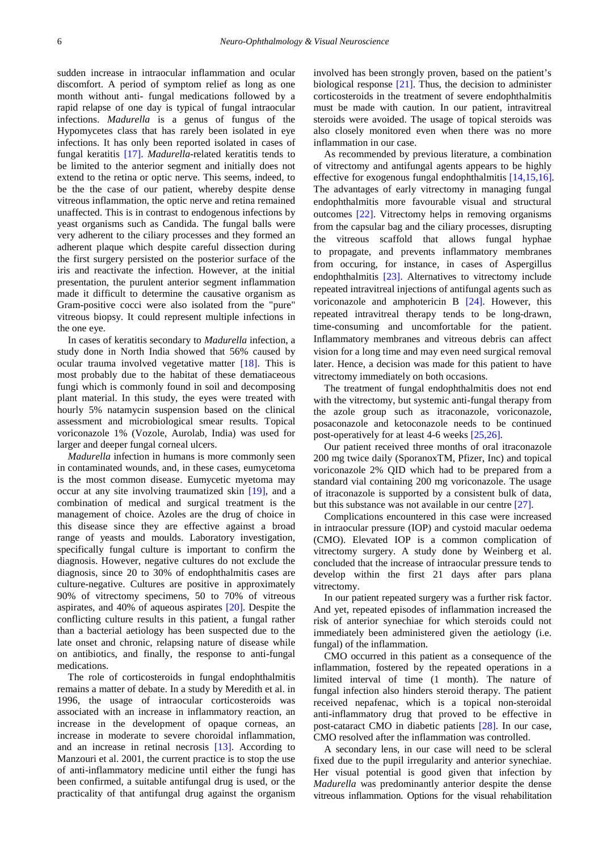sudden increase in intraocular inflammation and ocular discomfort. A period of symptom relief as long as one month without anti- fungal medications followed by a rapid relapse of one day is typical of fungal intraocular infections. *Madurella* is a genus of fungus of the Hypomycetes class that has rarely been isolated in eye infections. It has only been reported isolated in cases of fungal keratitis [\[17\].](#page-3-7) *Madurella*-related keratitis tends to be limited to the anterior segment and initially does not extend to the retina or optic nerve. This seems, indeed, to be the the case of our patient, whereby despite dense vitreous inflammation, the optic nerve and retina remained unaffected. This is in contrast to endogenous infections by yeast organisms such as Candida. The fungal balls were very adherent to the ciliary processes and they formed an adherent plaque which despite careful dissection during the first surgery persisted on the posterior surface of the iris and reactivate the infection. However, at the initial presentation, the purulent anterior segment inflammation made it difficult to determine the causative organism as Gram-positive cocci were also isolated from the "pure" vitreous biopsy. It could represent multiple infections in the one eye.

In cases of keratitis secondary to *Madurella* infection, a study done in North India showed that 56% caused by ocular trauma involved vegetative matter [\[18\].](#page-3-8) This is most probably due to the habitat of these dematiaceous fungi which is commonly found in soil and decomposing plant material. In this study, the eyes were treated with hourly 5% natamycin suspension based on the clinical assessment and microbiological smear results. Topical voriconazole 1% (Vozole, Aurolab, India) was used for larger and deeper fungal corneal ulcers.

*Madurella* infection in humans is more commonly seen in contaminated wounds, and, in these cases, eumycetoma is the most common disease. Eumycetic myetoma may occur at any site involving traumatized skin [\[19\],](#page-3-9) and a combination of medical and surgical treatment is the management of choice. Azoles are the drug of choice in this disease since they are effective against a broad range of yeasts and moulds. Laboratory investigation, specifically fungal culture is important to confirm the diagnosis. However, negative cultures do not exclude the diagnosis, since 20 to 30% of endophthalmitis cases are culture-negative. Cultures are positive in approximately 90% of vitrectomy specimens, 50 to 70% of vitreous aspirates, and 40% of aqueous aspirates [\[20\].](#page-3-10) Despite the conflicting culture results in this patient, a fungal rather than a bacterial aetiology has been suspected due to the late onset and chronic, relapsing nature of disease while on antibiotics, and finally, the response to anti-fungal medications.

The role of corticosteroids in fungal endophthalmitis remains a matter of debate. In a study by Meredith et al. in 1996, the usage of intraocular corticosteroids was associated with an increase in inflammatory reaction, an increase in the development of opaque corneas, an increase in moderate to severe choroidal inflammation, and an increase in retinal necrosis [\[13\].](#page-3-11) According to Manzouri et al. 2001, the current practice is to stop the use of anti-inflammatory medicine until either the fungi has been confirmed, a suitable antifungal drug is used, or the practicality of that antifungal drug against the organism involved has been strongly proven, based on the patient's biological response  $[21]$ . Thus, the decision to administer corticosteroids in the treatment of severe endophthalmitis must be made with caution. In our patient, intravitreal steroids were avoided. The usage of topical steroids was also closely monitored even when there was no more inflammation in our case.

As recommended by previous literature, a combination of vitrectomy and antifungal agents appears to be highly effective for exogenous fungal endophthalmitis [\[14,15,16\].](#page-3-13) The advantages of early vitrectomy in managing fungal endophthalmitis more favourable visual and structural outcomes [\[22\].](#page-3-14) Vitrectomy helps in removing organisms from the capsular bag and the ciliary processes, disrupting the vitreous scaffold that allows fungal hyphae to propagate, and prevents inflammatory membranes from occuring, for instance, in cases of Aspergillus endophthalmitis [\[23\].](#page-3-15) Alternatives to vitrectomy include repeated intravitreal injections of antifungal agents such as voriconazole and amphotericin B [\[24\].](#page-3-16) However, this repeated intravitreal therapy tends to be long-drawn, time-consuming and uncomfortable for the patient. Inflammatory membranes and vitreous debris can affect vision for a long time and may even need surgical removal later. Hence, a decision was made for this patient to have vitrectomy immediately on both occasions.

The treatment of fungal endophthalmitis does not end with the vitrectomy, but systemic anti-fungal therapy from the azole group such as itraconazole, voriconazole, posaconazole and ketoconazole needs to be continued post-operatively for at least 4-6 weeks [\[25,26\].](#page-3-17)

Our patient received three months of oral itraconazole 200 mg twice daily (SporanoxTM, Pfizer, Inc) and topical voriconazole 2% QID which had to be prepared from a standard vial containing 200 mg voriconazole. The usage of itraconazole is supported by a consistent bulk of data, but this substance was not available in our centre [\[27\].](#page-3-18)

Complications encountered in this case were increased in intraocular pressure (IOP) and cystoid macular oedema (CMO). Elevated IOP is a common complication of vitrectomy surgery. A study done by Weinberg et al. concluded that the increase of intraocular pressure tends to develop within the first 21 days after pars plana vitrectomy.

In our patient repeated surgery was a further risk factor. And yet, repeated episodes of inflammation increased the risk of anterior synechiae for which steroids could not immediately been administered given the aetiology (i.e. fungal) of the inflammation.

CMO occurred in this patient as a consequence of the inflammation, fostered by the repeated operations in a limited interval of time (1 month). The nature of fungal infection also hinders steroid therapy. The patient received nepafenac, which is a topical non-steroidal anti-inflammatory drug that proved to be effective in post-cataract CMO in diabetic patients [\[28\].](#page-3-19) In our case, CMO resolved after the inflammation was controlled.

A secondary lens, in our case will need to be scleral fixed due to the pupil irregularity and anterior synechiae. Her visual potential is good given that infection by *Madurella* was predominantly anterior despite the dense vitreous inflammation. Options for the visual rehabilitation